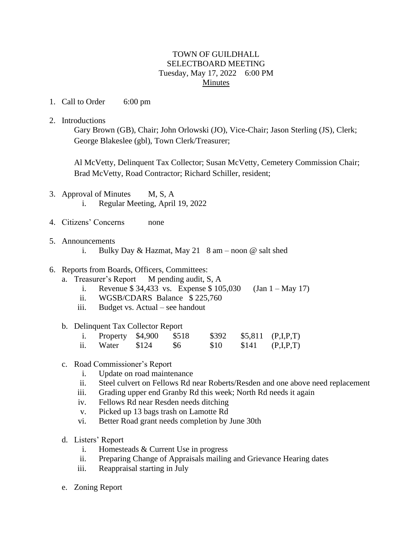## TOWN OF GUILDHALL SELECTBOARD MEETING Tuesday, May 17, 2022 6:00 PM Minutes

- 1. Call to Order 6:00 pm
- 2. Introductions

Gary Brown (GB), Chair; John Orlowski (JO), Vice-Chair; Jason Sterling (JS), Clerk; George Blakeslee (gbl), Town Clerk/Treasurer;

Al McVetty, Delinquent Tax Collector; Susan McVetty, Cemetery Commission Chair; Brad McVetty, Road Contractor; Richard Schiller, resident;

- 3. Approval of Minutes M, S, A i. Regular Meeting, April 19, 2022
- 4. Citizens' Concerns none
- 5. Announcements
	- i. Bulky Day & Hazmat, May 21 8 am noon @ salt shed

## 6. Reports from Boards, Officers, Committees:

- a. Treasurer's Report M pending audit, S, A
	- i. Revenue  $$34,433$  vs. Expense  $$105,030$  (Jan 1 May 17)
	- ii. WGSB/CDARS Balance \$ 225,760
	- iii. Budget vs. Actual see handout

## b. Delinquent Tax Collector Report

|     | i. Property $$4,900$ | \$518     | \$392 |       | $$5,811$ (P,I,P,T) |
|-----|----------------------|-----------|-------|-------|--------------------|
| ii. | Water \$124          | <b>S6</b> | \$10  | \$141 | (P,I,P,T)          |

- c. Road Commissioner's Report
	- i. Update on road maintenance
	- ii. Steel culvert on Fellows Rd near Roberts/Resden and one above need replacement
	- iii. Grading upper end Granby Rd this week; North Rd needs it again
	- iv. Fellows Rd near Resden needs ditching
	- v. Picked up 13 bags trash on Lamotte Rd
	- vi. Better Road grant needs completion by June 30th
- d. Listers' Report
	- i. Homesteads & Current Use in progress
	- ii. Preparing Change of Appraisals mailing and Grievance Hearing dates
	- iii. Reappraisal starting in July
- e. Zoning Report